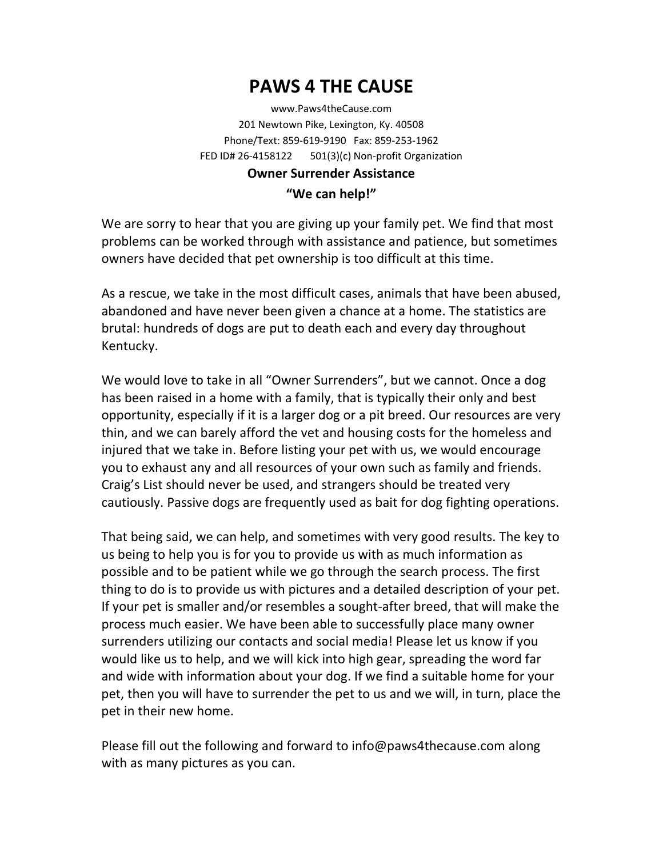## **PAWS 4 THE CAUSE**

www.Paws4theCause.com 201 Newtown Pike, Lexington, Ky. 40508 Phone/Text: 859‐619‐9190 Fax: 859‐253‐1962 FED ID# 26‐4158122 501(3)(c) Non‐profit Organization

## **Owner Surrender Assistance "We can help!"**

We are sorry to hear that you are giving up your family pet. We find that most problems can be worked through with assistance and patience, but sometimes owners have decided that pet ownership is too difficult at this time.

As a rescue, we take in the most difficult cases, animals that have been abused, abandoned and have never been given a chance at a home. The statistics are brutal: hundreds of dogs are put to death each and every day throughout Kentucky.

We would love to take in all "Owner Surrenders", but we cannot. Once a dog has been raised in a home with a family, that is typically their only and best opportunity, especially if it is a larger dog or a pit breed. Our resources are very thin, and we can barely afford the vet and housing costs for the homeless and injured that we take in. Before listing your pet with us, we would encourage you to exhaust any and all resources of your own such as family and friends. Craig's List should never be used, and strangers should be treated very cautiously. Passive dogs are frequently used as bait for dog fighting operations.

That being said, we can help, and sometimes with very good results. The key to us being to help you is for you to provide us with as much information as possible and to be patient while we go through the search process. The first thing to do is to provide us with pictures and a detailed description of your pet. If your pet is smaller and/or resembles a sought‐after breed, that will make the process much easier. We have been able to successfully place many owner surrenders utilizing our contacts and social media! Please let us know if you would like us to help, and we will kick into high gear, spreading the word far and wide with information about your dog. If we find a suitable home for your pet, then you will have to surrender the pet to us and we will, in turn, place the pet in their new home.

Please fill out the following and forward to info@paws4thecause.com along with as many pictures as you can.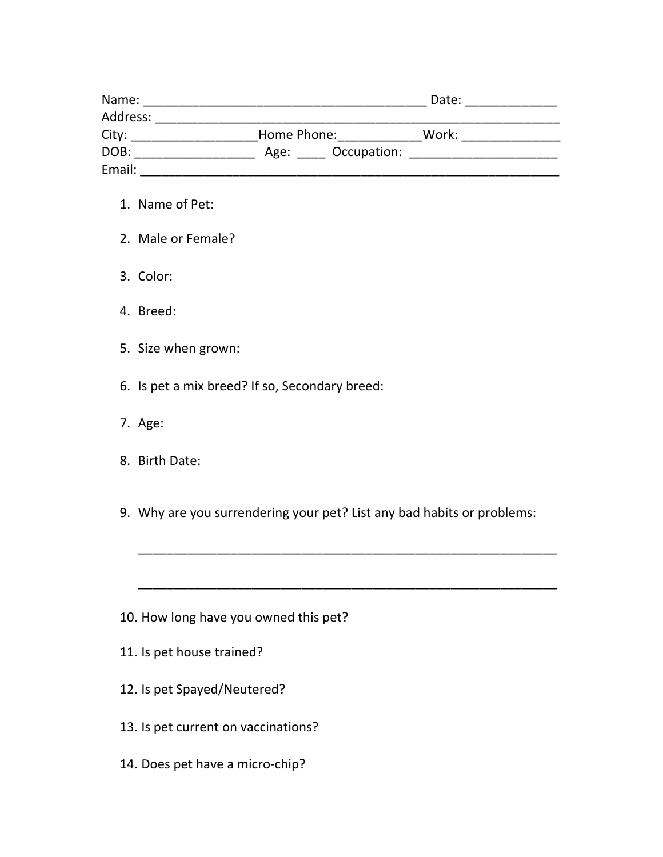| Name:    |                  | Date: |  |
|----------|------------------|-------|--|
| Address: |                  |       |  |
| City:    | Home Phone:      | Work: |  |
| DOB:     | Age: Occupation: |       |  |
| Email:   |                  |       |  |

- 1. Name of Pet:
- 2. Male or Female?
- 3. Color:
- 4. Breed:
- 5. Size when grown:
- 6. Is pet a mix breed? If so, Secondary breed:
- 7. Age:
- 8. Birth Date:
- 9. Why are you surrendering your pet? List any bad habits or problems:

\_\_\_\_\_\_\_\_\_\_\_\_\_\_\_\_\_\_\_\_\_\_\_\_\_\_\_\_\_\_\_\_\_\_\_\_\_\_\_\_\_\_\_\_\_\_\_\_\_\_\_\_\_\_\_\_\_\_\_

\_\_\_\_\_\_\_\_\_\_\_\_\_\_\_\_\_\_\_\_\_\_\_\_\_\_\_\_\_\_\_\_\_\_\_\_\_\_\_\_\_\_\_\_\_\_\_\_\_\_\_\_\_\_\_\_\_\_\_

- 10. How long have you owned this pet?
- 11. Is pet house trained?
- 12. Is pet Spayed/Neutered?
- 13. Is pet current on vaccinations?
- 14. Does pet have a micro-chip?